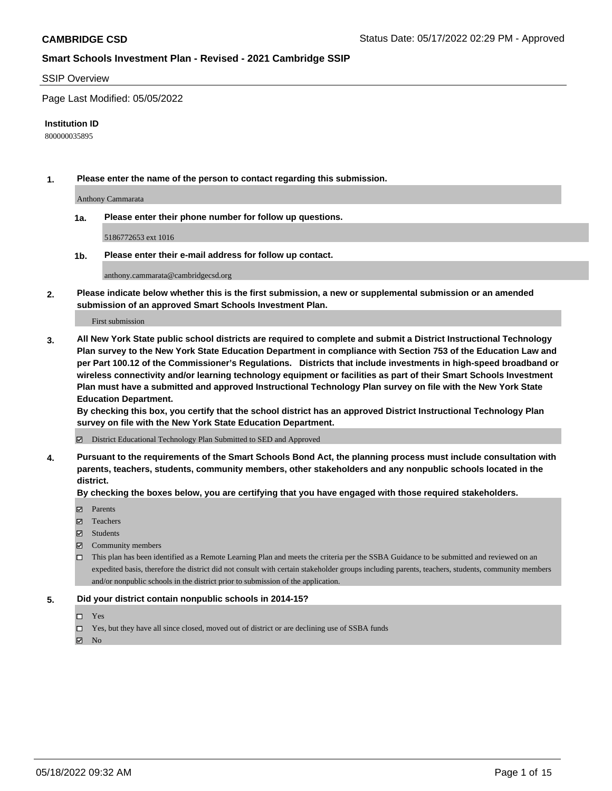#### SSIP Overview

Page Last Modified: 05/05/2022

#### **Institution ID**

800000035895

**1. Please enter the name of the person to contact regarding this submission.**

Anthony Cammarata

**1a. Please enter their phone number for follow up questions.**

5186772653 ext 1016

**1b. Please enter their e-mail address for follow up contact.**

anthony.cammarata@cambridgecsd.org

**2. Please indicate below whether this is the first submission, a new or supplemental submission or an amended submission of an approved Smart Schools Investment Plan.**

First submission

**3. All New York State public school districts are required to complete and submit a District Instructional Technology Plan survey to the New York State Education Department in compliance with Section 753 of the Education Law and per Part 100.12 of the Commissioner's Regulations. Districts that include investments in high-speed broadband or wireless connectivity and/or learning technology equipment or facilities as part of their Smart Schools Investment Plan must have a submitted and approved Instructional Technology Plan survey on file with the New York State Education Department.** 

**By checking this box, you certify that the school district has an approved District Instructional Technology Plan survey on file with the New York State Education Department.**

District Educational Technology Plan Submitted to SED and Approved

**4. Pursuant to the requirements of the Smart Schools Bond Act, the planning process must include consultation with parents, teachers, students, community members, other stakeholders and any nonpublic schools located in the district.** 

**By checking the boxes below, you are certifying that you have engaged with those required stakeholders.**

- **□** Parents
- Teachers
- Students
- $\Xi$  Community members
- This plan has been identified as a Remote Learning Plan and meets the criteria per the SSBA Guidance to be submitted and reviewed on an expedited basis, therefore the district did not consult with certain stakeholder groups including parents, teachers, students, community members and/or nonpublic schools in the district prior to submission of the application.

#### **5. Did your district contain nonpublic schools in 2014-15?**

- Yes
- $\Box$  Yes, but they have all since closed, moved out of district or are declining use of SSBA funds

 $\boxtimes$  No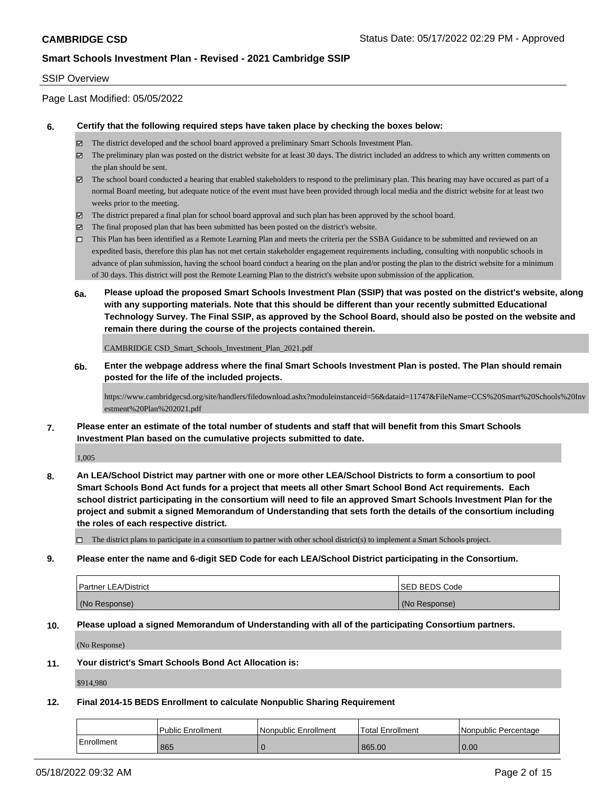### SSIP Overview

Page Last Modified: 05/05/2022

#### **6. Certify that the following required steps have taken place by checking the boxes below:**

- The district developed and the school board approved a preliminary Smart Schools Investment Plan.
- $\boxtimes$  The preliminary plan was posted on the district website for at least 30 days. The district included an address to which any written comments on the plan should be sent.
- $\boxtimes$  The school board conducted a hearing that enabled stakeholders to respond to the preliminary plan. This hearing may have occured as part of a normal Board meeting, but adequate notice of the event must have been provided through local media and the district website for at least two weeks prior to the meeting.
- The district prepared a final plan for school board approval and such plan has been approved by the school board.
- $\boxtimes$  The final proposed plan that has been submitted has been posted on the district's website.
- This Plan has been identified as a Remote Learning Plan and meets the criteria per the SSBA Guidance to be submitted and reviewed on an expedited basis, therefore this plan has not met certain stakeholder engagement requirements including, consulting with nonpublic schools in advance of plan submission, having the school board conduct a hearing on the plan and/or posting the plan to the district website for a minimum of 30 days. This district will post the Remote Learning Plan to the district's website upon submission of the application.
- **6a. Please upload the proposed Smart Schools Investment Plan (SSIP) that was posted on the district's website, along with any supporting materials. Note that this should be different than your recently submitted Educational Technology Survey. The Final SSIP, as approved by the School Board, should also be posted on the website and remain there during the course of the projects contained therein.**

CAMBRIDGE CSD\_Smart\_Schools\_Investment\_Plan\_2021.pdf

**6b. Enter the webpage address where the final Smart Schools Investment Plan is posted. The Plan should remain posted for the life of the included projects.**

https://www.cambridgecsd.org/site/handlers/filedownload.ashx?moduleinstanceid=56&dataid=11747&FileName=CCS%20Smart%20Schools%20Inv estment%20Plan%202021.pdf

**7. Please enter an estimate of the total number of students and staff that will benefit from this Smart Schools Investment Plan based on the cumulative projects submitted to date.**

1,005

**8. An LEA/School District may partner with one or more other LEA/School Districts to form a consortium to pool Smart Schools Bond Act funds for a project that meets all other Smart School Bond Act requirements. Each school district participating in the consortium will need to file an approved Smart Schools Investment Plan for the project and submit a signed Memorandum of Understanding that sets forth the details of the consortium including the roles of each respective district.**

 $\Box$  The district plans to participate in a consortium to partner with other school district(s) to implement a Smart Schools project.

#### **9. Please enter the name and 6-digit SED Code for each LEA/School District participating in the Consortium.**

| <b>Partner LEA/District</b> | <b>ISED BEDS Code</b> |
|-----------------------------|-----------------------|
| (No Response)               | (No Response)         |

### **10. Please upload a signed Memorandum of Understanding with all of the participating Consortium partners.**

(No Response)

### **11. Your district's Smart Schools Bond Act Allocation is:**

\$914,980

# **12. Final 2014-15 BEDS Enrollment to calculate Nonpublic Sharing Requirement**

|            | l Public Enrollment | l Nonpublic Enrollment | Total Enrollment | l Nonpublic Percentage |
|------------|---------------------|------------------------|------------------|------------------------|
| Enrollment | 865                 |                        | 865.00           | 0.00                   |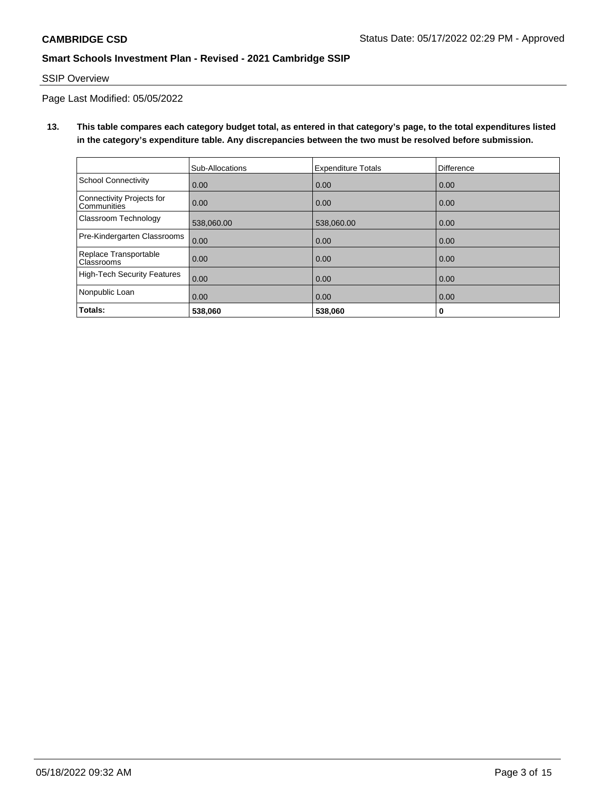# SSIP Overview

Page Last Modified: 05/05/2022

**13. This table compares each category budget total, as entered in that category's page, to the total expenditures listed in the category's expenditure table. Any discrepancies between the two must be resolved before submission.**

|                                            | Sub-Allocations | <b>Expenditure Totals</b> | <b>Difference</b> |
|--------------------------------------------|-----------------|---------------------------|-------------------|
| <b>School Connectivity</b>                 | 0.00            | 0.00                      | 0.00              |
| Connectivity Projects for<br>Communities   | 0.00            | 0.00                      | 0.00              |
| Classroom Technology                       | 538,060.00      | 538,060.00                | 0.00              |
| Pre-Kindergarten Classrooms                | 0.00            | 0.00                      | 0.00              |
| Replace Transportable<br><b>Classrooms</b> | 0.00            | 0.00                      | 0.00              |
| <b>High-Tech Security Features</b>         | 0.00            | 0.00                      | 0.00              |
| Nonpublic Loan                             | 0.00            | 0.00                      | 0.00              |
| Totals:                                    | 538,060         | 538,060                   | 0                 |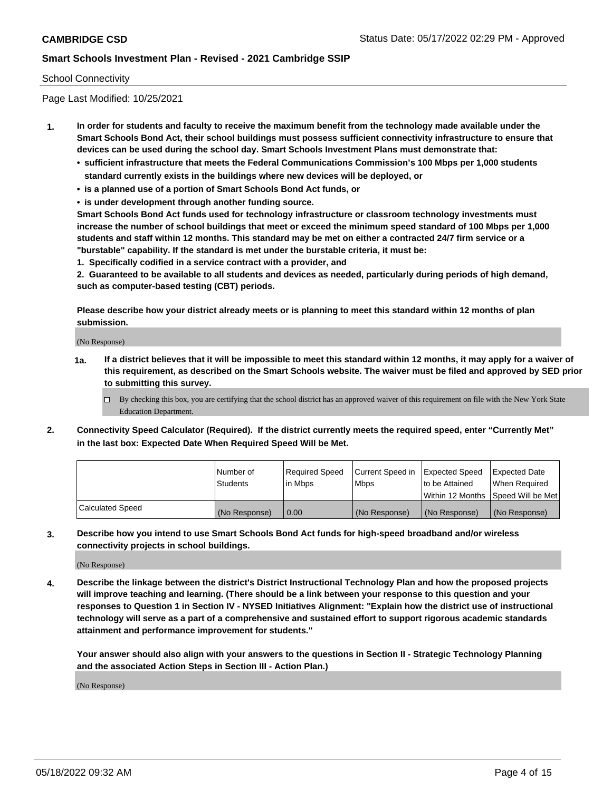### School Connectivity

Page Last Modified: 10/25/2021

- **1. In order for students and faculty to receive the maximum benefit from the technology made available under the Smart Schools Bond Act, their school buildings must possess sufficient connectivity infrastructure to ensure that devices can be used during the school day. Smart Schools Investment Plans must demonstrate that:**
	- **• sufficient infrastructure that meets the Federal Communications Commission's 100 Mbps per 1,000 students standard currently exists in the buildings where new devices will be deployed, or**
	- **• is a planned use of a portion of Smart Schools Bond Act funds, or**
	- **• is under development through another funding source.**

**Smart Schools Bond Act funds used for technology infrastructure or classroom technology investments must increase the number of school buildings that meet or exceed the minimum speed standard of 100 Mbps per 1,000 students and staff within 12 months. This standard may be met on either a contracted 24/7 firm service or a "burstable" capability. If the standard is met under the burstable criteria, it must be:**

**1. Specifically codified in a service contract with a provider, and**

**2. Guaranteed to be available to all students and devices as needed, particularly during periods of high demand, such as computer-based testing (CBT) periods.**

**Please describe how your district already meets or is planning to meet this standard within 12 months of plan submission.**

(No Response)

- **1a. If a district believes that it will be impossible to meet this standard within 12 months, it may apply for a waiver of this requirement, as described on the Smart Schools website. The waiver must be filed and approved by SED prior to submitting this survey.**
	- By checking this box, you are certifying that the school district has an approved waiver of this requirement on file with the New York State Education Department.
- **2. Connectivity Speed Calculator (Required). If the district currently meets the required speed, enter "Currently Met" in the last box: Expected Date When Required Speed Will be Met.**

|                  | l Number of     | Required Speed | Current Speed in Expected Speed |                                    | Expected Date |
|------------------|-----------------|----------------|---------------------------------|------------------------------------|---------------|
|                  | <b>Students</b> | l in Mbps      | <b>Mbps</b>                     | to be Attained                     | When Reauired |
|                  |                 |                |                                 | Within 12 Months Speed Will be Met |               |
| Calculated Speed | (No Response)   | 0.00           | (No Response)                   | (No Response)                      | (No Response) |

**3. Describe how you intend to use Smart Schools Bond Act funds for high-speed broadband and/or wireless connectivity projects in school buildings.**

(No Response)

**4. Describe the linkage between the district's District Instructional Technology Plan and how the proposed projects will improve teaching and learning. (There should be a link between your response to this question and your responses to Question 1 in Section IV - NYSED Initiatives Alignment: "Explain how the district use of instructional technology will serve as a part of a comprehensive and sustained effort to support rigorous academic standards attainment and performance improvement for students."** 

**Your answer should also align with your answers to the questions in Section II - Strategic Technology Planning and the associated Action Steps in Section III - Action Plan.)**

(No Response)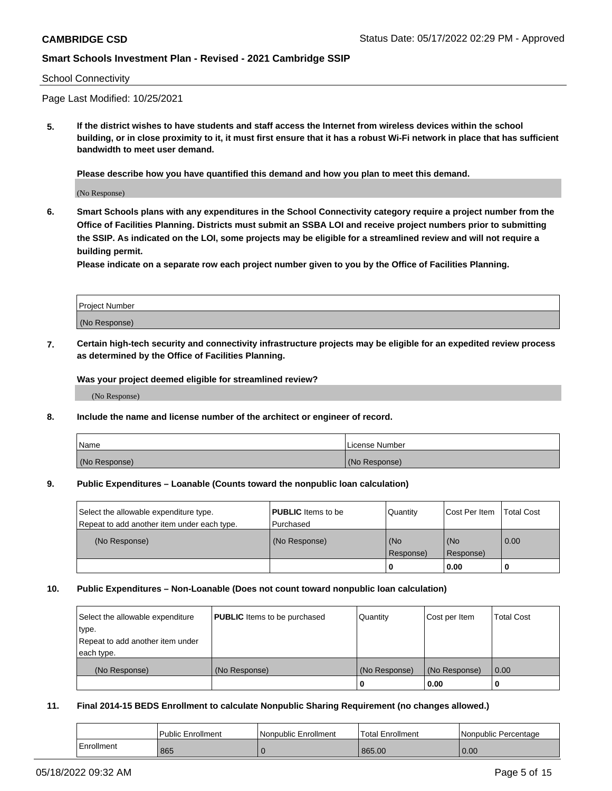### School Connectivity

Page Last Modified: 10/25/2021

**5. If the district wishes to have students and staff access the Internet from wireless devices within the school building, or in close proximity to it, it must first ensure that it has a robust Wi-Fi network in place that has sufficient bandwidth to meet user demand.**

**Please describe how you have quantified this demand and how you plan to meet this demand.**

(No Response)

**6. Smart Schools plans with any expenditures in the School Connectivity category require a project number from the Office of Facilities Planning. Districts must submit an SSBA LOI and receive project numbers prior to submitting the SSIP. As indicated on the LOI, some projects may be eligible for a streamlined review and will not require a building permit.**

**Please indicate on a separate row each project number given to you by the Office of Facilities Planning.**

| <b>Project Number</b> |  |
|-----------------------|--|
| (No Response)         |  |

**7. Certain high-tech security and connectivity infrastructure projects may be eligible for an expedited review process as determined by the Office of Facilities Planning.**

**Was your project deemed eligible for streamlined review?**

(No Response)

#### **8. Include the name and license number of the architect or engineer of record.**

| Name          | I License Number |
|---------------|------------------|
| (No Response) | (No Response)    |

#### **9. Public Expenditures – Loanable (Counts toward the nonpublic loan calculation)**

| Select the allowable expenditure type.<br>Repeat to add another item under each type. | <b>PUBLIC</b> Items to be<br>l Purchased | Quantity         | Cost Per Item    | <b>Total Cost</b> |
|---------------------------------------------------------------------------------------|------------------------------------------|------------------|------------------|-------------------|
| (No Response)                                                                         | (No Response)                            | (No<br>Response) | (No<br>Response) | 0.00              |
|                                                                                       |                                          | -0               | 0.00             |                   |

### **10. Public Expenditures – Non-Loanable (Does not count toward nonpublic loan calculation)**

| Select the allowable expenditure | <b>PUBLIC</b> Items to be purchased | Quantity      | Cost per Item | <b>Total Cost</b> |
|----------------------------------|-------------------------------------|---------------|---------------|-------------------|
| type.                            |                                     |               |               |                   |
| Repeat to add another item under |                                     |               |               |                   |
| each type.                       |                                     |               |               |                   |
| (No Response)                    | (No Response)                       | (No Response) | (No Response) | 0.00              |
|                                  |                                     | U             | 0.00          |                   |

### **11. Final 2014-15 BEDS Enrollment to calculate Nonpublic Sharing Requirement (no changes allowed.)**

|            | <b>Public Enrollment</b> | Nonpublic Enrollment | Total Enrollment | Nonpublic Percentage |
|------------|--------------------------|----------------------|------------------|----------------------|
| Enrollment | 865                      |                      | 865.00           | 0.00                 |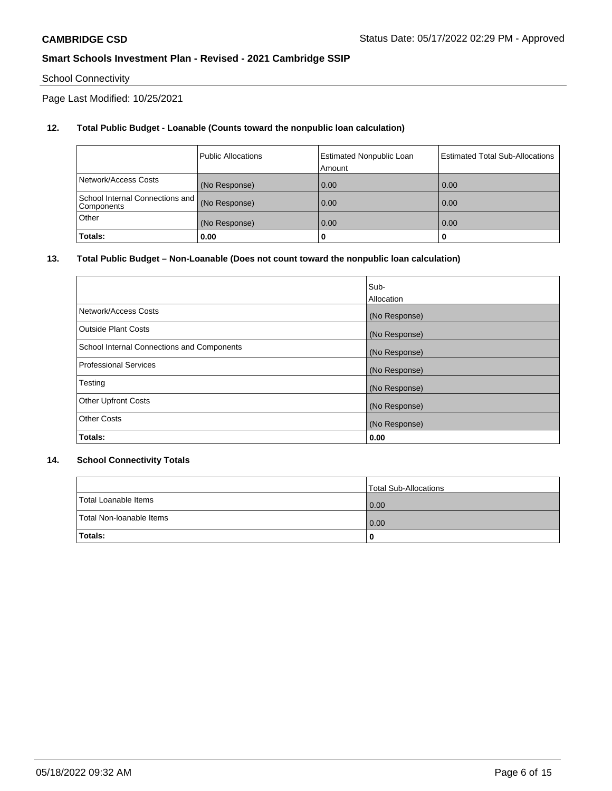# School Connectivity

Page Last Modified: 10/25/2021

## **12. Total Public Budget - Loanable (Counts toward the nonpublic loan calculation)**

|                                               | <b>Public Allocations</b> | <b>Estimated Nonpublic Loan</b><br>Amount | Estimated Total Sub-Allocations |
|-----------------------------------------------|---------------------------|-------------------------------------------|---------------------------------|
| Network/Access Costs                          | (No Response)             | 0.00                                      | 0.00                            |
| School Internal Connections and<br>Components | (No Response)             | 0.00                                      | 0.00                            |
| Other                                         | (No Response)             | 0.00                                      | 0.00                            |
| Totals:                                       | 0.00                      |                                           | 0                               |

### **13. Total Public Budget – Non-Loanable (Does not count toward the nonpublic loan calculation)**

|                                            | Sub-          |
|--------------------------------------------|---------------|
|                                            | Allocation    |
| Network/Access Costs                       | (No Response) |
| <b>Outside Plant Costs</b>                 | (No Response) |
| School Internal Connections and Components | (No Response) |
| <b>Professional Services</b>               | (No Response) |
| Testing                                    | (No Response) |
| <b>Other Upfront Costs</b>                 | (No Response) |
| <b>Other Costs</b>                         | (No Response) |
| Totals:                                    | 0.00          |

### **14. School Connectivity Totals**

|                          | Total Sub-Allocations |
|--------------------------|-----------------------|
| Total Loanable Items     | 0.00                  |
| Total Non-Ioanable Items | 0.00                  |
| Totals:                  | 0                     |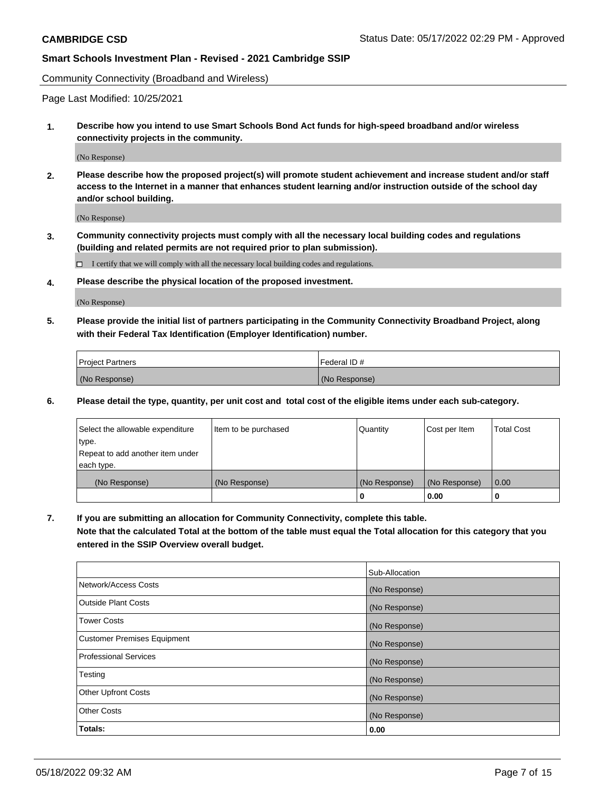Community Connectivity (Broadband and Wireless)

Page Last Modified: 10/25/2021

**1. Describe how you intend to use Smart Schools Bond Act funds for high-speed broadband and/or wireless connectivity projects in the community.**

(No Response)

**2. Please describe how the proposed project(s) will promote student achievement and increase student and/or staff access to the Internet in a manner that enhances student learning and/or instruction outside of the school day and/or school building.**

(No Response)

**3. Community connectivity projects must comply with all the necessary local building codes and regulations (building and related permits are not required prior to plan submission).**

 $\Box$  I certify that we will comply with all the necessary local building codes and regulations.

**4. Please describe the physical location of the proposed investment.**

(No Response)

**5. Please provide the initial list of partners participating in the Community Connectivity Broadband Project, along with their Federal Tax Identification (Employer Identification) number.**

| <b>Project Partners</b> | 'Federal ID # |
|-------------------------|---------------|
| (No Response)           | (No Response) |

**6. Please detail the type, quantity, per unit cost and total cost of the eligible items under each sub-category.**

| Select the allowable expenditure          | Item to be purchased | Quantity      | Cost per Item | <b>Total Cost</b> |
|-------------------------------------------|----------------------|---------------|---------------|-------------------|
| type.<br>Repeat to add another item under |                      |               |               |                   |
| each type.                                |                      |               |               |                   |
| (No Response)                             | (No Response)        | (No Response) | (No Response) | 0.00              |
|                                           |                      | 0             | 0.00          |                   |

**7. If you are submitting an allocation for Community Connectivity, complete this table.**

**Note that the calculated Total at the bottom of the table must equal the Total allocation for this category that you entered in the SSIP Overview overall budget.**

|                                    | Sub-Allocation |
|------------------------------------|----------------|
| Network/Access Costs               | (No Response)  |
| <b>Outside Plant Costs</b>         | (No Response)  |
| <b>Tower Costs</b>                 | (No Response)  |
| <b>Customer Premises Equipment</b> | (No Response)  |
| Professional Services              | (No Response)  |
| Testing                            | (No Response)  |
| <b>Other Upfront Costs</b>         | (No Response)  |
| <b>Other Costs</b>                 | (No Response)  |
| Totals:                            | 0.00           |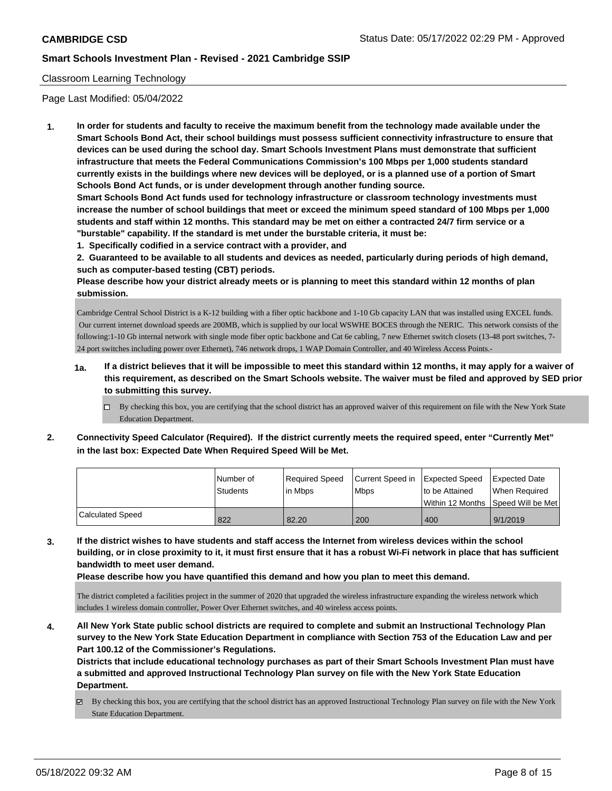### Classroom Learning Technology

Page Last Modified: 05/04/2022

**1. In order for students and faculty to receive the maximum benefit from the technology made available under the Smart Schools Bond Act, their school buildings must possess sufficient connectivity infrastructure to ensure that devices can be used during the school day. Smart Schools Investment Plans must demonstrate that sufficient infrastructure that meets the Federal Communications Commission's 100 Mbps per 1,000 students standard currently exists in the buildings where new devices will be deployed, or is a planned use of a portion of Smart Schools Bond Act funds, or is under development through another funding source.**

**Smart Schools Bond Act funds used for technology infrastructure or classroom technology investments must increase the number of school buildings that meet or exceed the minimum speed standard of 100 Mbps per 1,000 students and staff within 12 months. This standard may be met on either a contracted 24/7 firm service or a "burstable" capability. If the standard is met under the burstable criteria, it must be:**

**1. Specifically codified in a service contract with a provider, and**

**2. Guaranteed to be available to all students and devices as needed, particularly during periods of high demand, such as computer-based testing (CBT) periods.**

**Please describe how your district already meets or is planning to meet this standard within 12 months of plan submission.**

Cambridge Central School District is a K-12 building with a fiber optic backbone and 1-10 Gb capacity LAN that was installed using EXCEL funds. Our current internet download speeds are 200MB, which is supplied by our local WSWHE BOCES through the NERIC. This network consists of the following:1-10 Gb internal network with single mode fiber optic backbone and Cat 6e cabling, 7 new Ethernet switch closets (13-48 port switches, 7-24 port switches including power over Ethernet), 746 network drops, 1 WAP Domain Controller, and 40 Wireless Access Points.-

- **1a. If a district believes that it will be impossible to meet this standard within 12 months, it may apply for a waiver of this requirement, as described on the Smart Schools website. The waiver must be filed and approved by SED prior to submitting this survey.**
	- By checking this box, you are certifying that the school district has an approved waiver of this requirement on file with the New York State Education Department.
- **2. Connectivity Speed Calculator (Required). If the district currently meets the required speed, enter "Currently Met" in the last box: Expected Date When Required Speed Will be Met.**

|                         | l Number of<br>Students | Required Speed<br>l in Mbps | Current Speed in Expected Speed<br><b>Mbps</b> | Ito be Attained | Expected Date<br>When Required      |
|-------------------------|-------------------------|-----------------------------|------------------------------------------------|-----------------|-------------------------------------|
|                         |                         |                             |                                                |                 | Within 12 Months 1Speed Will be Met |
| <b>Calculated Speed</b> | 822                     | 82.20                       | 200                                            | 400             | 9/1/2019                            |

**3. If the district wishes to have students and staff access the Internet from wireless devices within the school building, or in close proximity to it, it must first ensure that it has a robust Wi-Fi network in place that has sufficient bandwidth to meet user demand.**

**Please describe how you have quantified this demand and how you plan to meet this demand.**

The district completed a facilities project in the summer of 2020 that upgraded the wireless infrastructure expanding the wireless network which includes 1 wireless domain controller, Power Over Ethernet switches, and 40 wireless access points.

**4. All New York State public school districts are required to complete and submit an Instructional Technology Plan survey to the New York State Education Department in compliance with Section 753 of the Education Law and per Part 100.12 of the Commissioner's Regulations.**

**Districts that include educational technology purchases as part of their Smart Schools Investment Plan must have a submitted and approved Instructional Technology Plan survey on file with the New York State Education Department.**

By checking this box, you are certifying that the school district has an approved Instructional Technology Plan survey on file with the New York State Education Department.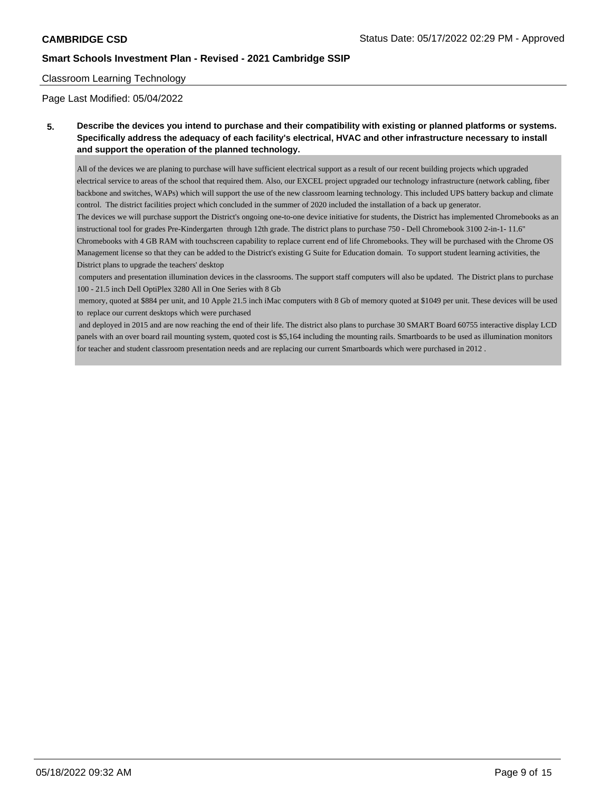### Classroom Learning Technology

Page Last Modified: 05/04/2022

**5. Describe the devices you intend to purchase and their compatibility with existing or planned platforms or systems. Specifically address the adequacy of each facility's electrical, HVAC and other infrastructure necessary to install and support the operation of the planned technology.**

All of the devices we are planing to purchase will have sufficient electrical support as a result of our recent building projects which upgraded electrical service to areas of the school that required them. Also, our EXCEL project upgraded our technology infrastructure (network cabling, fiber backbone and switches, WAPs) which will support the use of the new classroom learning technology. This included UPS battery backup and climate control. The district facilities project which concluded in the summer of 2020 included the installation of a back up generator.

The devices we will purchase support the District's ongoing one-to-one device initiative for students, the District has implemented Chromebooks as an instructional tool for grades Pre-Kindergarten through 12th grade. The district plans to purchase 750 - Dell Chromebook 3100 2-in-1- 11.6" Chromebooks with 4 GB RAM with touchscreen capability to replace current end of life Chromebooks. They will be purchased with the Chrome OS Management license so that they can be added to the District's existing G Suite for Education domain. To support student learning activities, the District plans to upgrade the teachers' desktop

 computers and presentation illumination devices in the classrooms. The support staff computers will also be updated. The District plans to purchase 100 - 21.5 inch Dell OptiPlex 3280 All in One Series with 8 Gb

 memory, quoted at \$884 per unit, and 10 Apple 21.5 inch iMac computers with 8 Gb of memory quoted at \$1049 per unit. These devices will be used to replace our current desktops which were purchased

 and deployed in 2015 and are now reaching the end of their life. The district also plans to purchase 30 SMART Board 60755 interactive display LCD panels with an over board rail mounting system, quoted cost is \$5,164 including the mounting rails. Smartboards to be used as illumination monitors for teacher and student classroom presentation needs and are replacing our current Smartboards which were purchased in 2012 .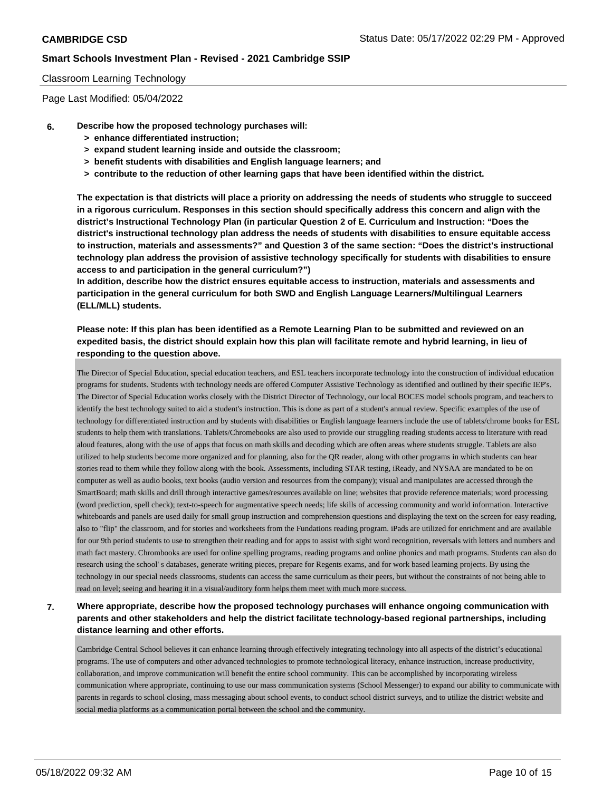### Classroom Learning Technology

Page Last Modified: 05/04/2022

- **6. Describe how the proposed technology purchases will:**
	- **> enhance differentiated instruction;**
	- **> expand student learning inside and outside the classroom;**
	- **> benefit students with disabilities and English language learners; and**
	- **> contribute to the reduction of other learning gaps that have been identified within the district.**

**The expectation is that districts will place a priority on addressing the needs of students who struggle to succeed in a rigorous curriculum. Responses in this section should specifically address this concern and align with the district's Instructional Technology Plan (in particular Question 2 of E. Curriculum and Instruction: "Does the district's instructional technology plan address the needs of students with disabilities to ensure equitable access to instruction, materials and assessments?" and Question 3 of the same section: "Does the district's instructional technology plan address the provision of assistive technology specifically for students with disabilities to ensure access to and participation in the general curriculum?")**

**In addition, describe how the district ensures equitable access to instruction, materials and assessments and participation in the general curriculum for both SWD and English Language Learners/Multilingual Learners (ELL/MLL) students.**

### **Please note: If this plan has been identified as a Remote Learning Plan to be submitted and reviewed on an expedited basis, the district should explain how this plan will facilitate remote and hybrid learning, in lieu of responding to the question above.**

The Director of Special Education, special education teachers, and ESL teachers incorporate technology into the construction of individual education programs for students. Students with technology needs are offered Computer Assistive Technology as identified and outlined by their specific IEP's. The Director of Special Education works closely with the District Director of Technology, our local BOCES model schools program, and teachers to identify the best technology suited to aid a student's instruction. This is done as part of a student's annual review. Specific examples of the use of technology for differentiated instruction and by students with disabilities or English language learners include the use of tablets/chrome books for ESL students to help them with translations. Tablets/Chromebooks are also used to provide our struggling reading students access to literature with read aloud features, along with the use of apps that focus on math skills and decoding which are often areas where students struggle. Tablets are also utilized to help students become more organized and for planning, also for the QR reader, along with other programs in which students can hear stories read to them while they follow along with the book. Assessments, including STAR testing, iReady, and NYSAA are mandated to be on computer as well as audio books, text books (audio version and resources from the company); visual and manipulates are accessed through the SmartBoard; math skills and drill through interactive games/resources available on line; websites that provide reference materials; word processing (word prediction, spell check); text-to-speech for augmentative speech needs; life skills of accessing community and world information. Interactive whiteboards and panels are used daily for small group instruction and comprehension questions and displaying the text on the screen for easy reading, also to "flip" the classroom, and for stories and worksheets from the Fundations reading program. iPads are utilized for enrichment and are available for our 9th period students to use to strengthen their reading and for apps to assist with sight word recognition, reversals with letters and numbers and math fact mastery. Chrombooks are used for online spelling programs, reading programs and online phonics and math programs. Students can also do research using the school' s databases, generate writing pieces, prepare for Regents exams, and for work based learning projects. By using the technology in our special needs classrooms, students can access the same curriculum as their peers, but without the constraints of not being able to read on level; seeing and hearing it in a visual/auditory form helps them meet with much more success.

# **7. Where appropriate, describe how the proposed technology purchases will enhance ongoing communication with parents and other stakeholders and help the district facilitate technology-based regional partnerships, including distance learning and other efforts.**

Cambridge Central School believes it can enhance learning through effectively integrating technology into all aspects of the district's educational programs. The use of computers and other advanced technologies to promote technological literacy, enhance instruction, increase productivity, collaboration, and improve communication will benefit the entire school community. This can be accomplished by incorporating wireless communication where appropriate, continuing to use our mass communication systems (School Messenger) to expand our ability to communicate with parents in regards to school closing, mass messaging about school events, to conduct school district surveys, and to utilize the district website and social media platforms as a communication portal between the school and the community.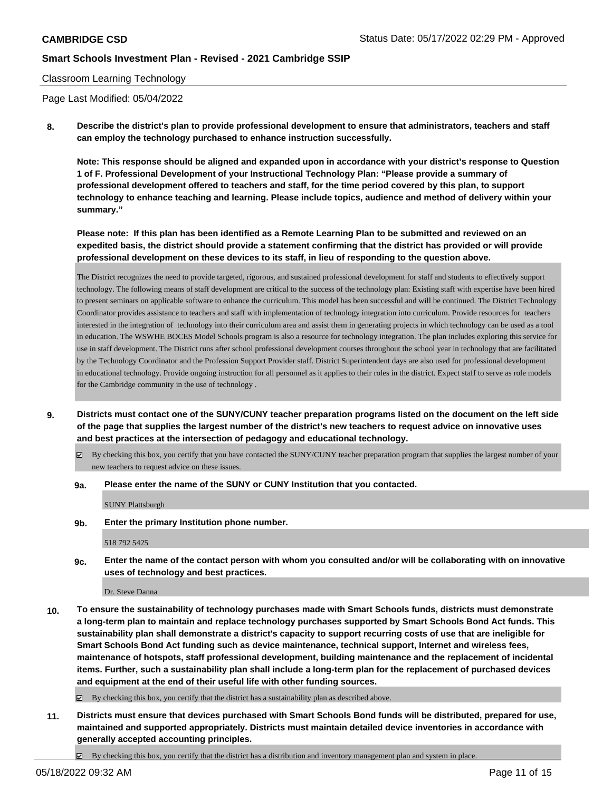### Classroom Learning Technology

Page Last Modified: 05/04/2022

**8. Describe the district's plan to provide professional development to ensure that administrators, teachers and staff can employ the technology purchased to enhance instruction successfully.**

**Note: This response should be aligned and expanded upon in accordance with your district's response to Question 1 of F. Professional Development of your Instructional Technology Plan: "Please provide a summary of professional development offered to teachers and staff, for the time period covered by this plan, to support technology to enhance teaching and learning. Please include topics, audience and method of delivery within your summary."**

**Please note: If this plan has been identified as a Remote Learning Plan to be submitted and reviewed on an expedited basis, the district should provide a statement confirming that the district has provided or will provide professional development on these devices to its staff, in lieu of responding to the question above.**

The District recognizes the need to provide targeted, rigorous, and sustained professional development for staff and students to effectively support technology. The following means of staff development are critical to the success of the technology plan: Existing staff with expertise have been hired to present seminars on applicable software to enhance the curriculum. This model has been successful and will be continued. The District Technology Coordinator provides assistance to teachers and staff with implementation of technology integration into curriculum. Provide resources for teachers interested in the integration of technology into their curriculum area and assist them in generating projects in which technology can be used as a tool in education. The WSWHE BOCES Model Schools program is also a resource for technology integration. The plan includes exploring this service for use in staff development. The District runs after school professional development courses throughout the school year in technology that are facilitated by the Technology Coordinator and the Profession Support Provider staff. District Superintendent days are also used for professional development in educational technology. Provide ongoing instruction for all personnel as it applies to their roles in the district. Expect staff to serve as role models for the Cambridge community in the use of technology .

**9. Districts must contact one of the SUNY/CUNY teacher preparation programs listed on the document on the left side of the page that supplies the largest number of the district's new teachers to request advice on innovative uses and best practices at the intersection of pedagogy and educational technology.**

By checking this box, you certify that you have contacted the SUNY/CUNY teacher preparation program that supplies the largest number of your new teachers to request advice on these issues.

**9a. Please enter the name of the SUNY or CUNY Institution that you contacted.**

SUNY Plattsburgh

**9b. Enter the primary Institution phone number.**

518 792 5425

**9c. Enter the name of the contact person with whom you consulted and/or will be collaborating with on innovative uses of technology and best practices.**

Dr. Steve Danna

**10. To ensure the sustainability of technology purchases made with Smart Schools funds, districts must demonstrate a long-term plan to maintain and replace technology purchases supported by Smart Schools Bond Act funds. This sustainability plan shall demonstrate a district's capacity to support recurring costs of use that are ineligible for Smart Schools Bond Act funding such as device maintenance, technical support, Internet and wireless fees, maintenance of hotspots, staff professional development, building maintenance and the replacement of incidental items. Further, such a sustainability plan shall include a long-term plan for the replacement of purchased devices and equipment at the end of their useful life with other funding sources.**

By checking this box, you certify that the district has a sustainability plan as described above.

**11. Districts must ensure that devices purchased with Smart Schools Bond funds will be distributed, prepared for use, maintained and supported appropriately. Districts must maintain detailed device inventories in accordance with generally accepted accounting principles.**

 $\boxtimes$  By checking this box, you certify that the district has a distribution and inventory management plan and system in place.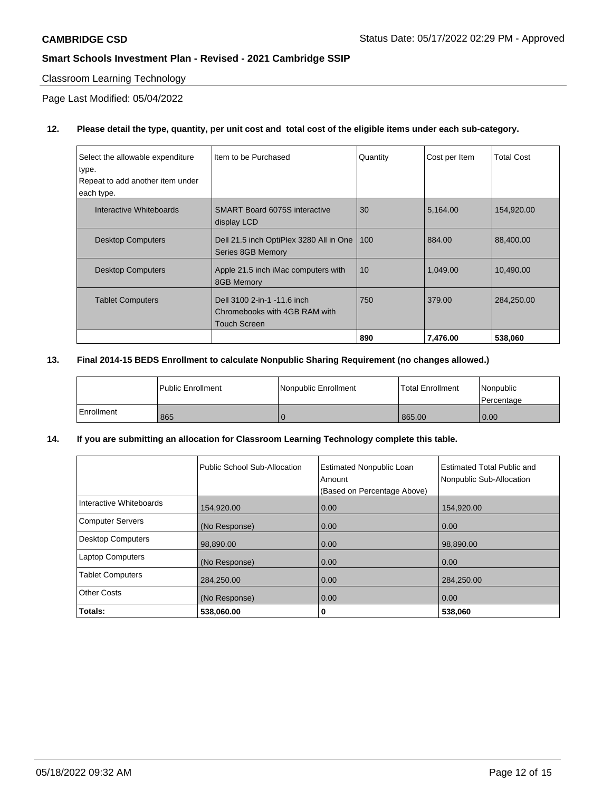### Classroom Learning Technology

Page Last Modified: 05/04/2022

# **12. Please detail the type, quantity, per unit cost and total cost of the eligible items under each sub-category.**

| Select the allowable expenditure<br>type.<br>Repeat to add another item under<br>each type. | Item to be Purchased                                                                | Quantity | Cost per Item | <b>Total Cost</b> |
|---------------------------------------------------------------------------------------------|-------------------------------------------------------------------------------------|----------|---------------|-------------------|
| Interactive Whiteboards                                                                     | SMART Board 6075S interactive<br>display LCD                                        | 30       | 5,164.00      | 154,920.00        |
| <b>Desktop Computers</b>                                                                    | Dell 21.5 inch OptiPlex 3280 All in One<br>Series 8GB Memory                        | 100      | 884.00        | 88,400.00         |
| <b>Desktop Computers</b>                                                                    | Apple 21.5 inch iMac computers with<br>8GB Memory                                   | 10       | 1,049.00      | 10,490.00         |
| <b>Tablet Computers</b>                                                                     | Dell 3100 2-in-1 -11.6 inch<br>Chromebooks with 4GB RAM with<br><b>Touch Screen</b> | 750      | 379.00        | 284,250.00        |
|                                                                                             |                                                                                     | 890      | 7,476.00      | 538,060           |

## **13. Final 2014-15 BEDS Enrollment to calculate Nonpublic Sharing Requirement (no changes allowed.)**

|            | l Public Enrollment | l Nonpublic Enrollment | <b>Total Enrollment</b> | Nonpublic<br>l Percentage |
|------------|---------------------|------------------------|-------------------------|---------------------------|
| Enrollment | 865                 |                        | 865.00                  | 0.00                      |

# **14. If you are submitting an allocation for Classroom Learning Technology complete this table.**

|                          | Public School Sub-Allocation | <b>Estimated Nonpublic Loan</b><br>Amount<br>(Based on Percentage Above) | Estimated Total Public and<br>Nonpublic Sub-Allocation |
|--------------------------|------------------------------|--------------------------------------------------------------------------|--------------------------------------------------------|
| Interactive Whiteboards  | 154,920.00                   | 0.00                                                                     | 154,920.00                                             |
| <b>Computer Servers</b>  | (No Response)                | 0.00                                                                     | 0.00                                                   |
| <b>Desktop Computers</b> | 98,890.00                    | 0.00                                                                     | 98,890.00                                              |
| <b>Laptop Computers</b>  | (No Response)                | 0.00                                                                     | 0.00                                                   |
| <b>Tablet Computers</b>  | 284,250.00                   | 0.00                                                                     | 284,250.00                                             |
| Other Costs              | (No Response)                | 0.00                                                                     | 0.00                                                   |
| Totals:                  | 538,060.00                   | 0                                                                        | 538,060                                                |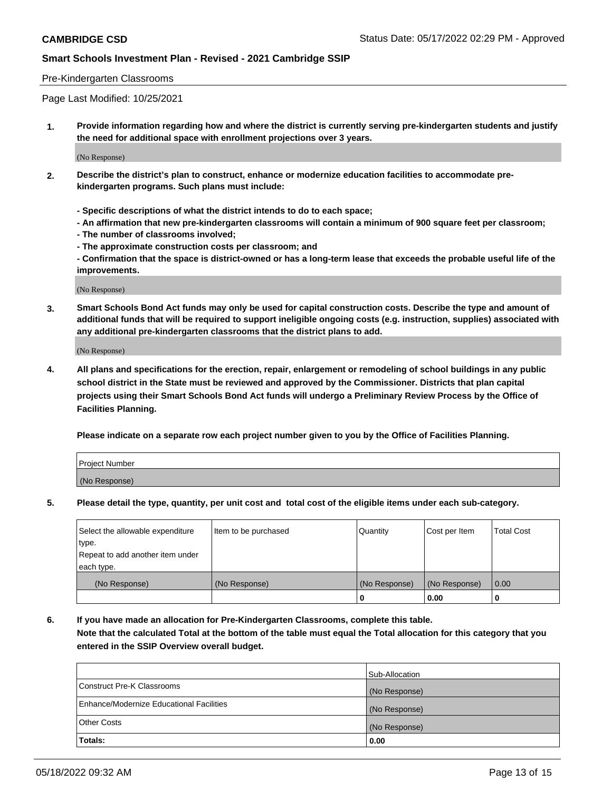### Pre-Kindergarten Classrooms

Page Last Modified: 10/25/2021

**1. Provide information regarding how and where the district is currently serving pre-kindergarten students and justify the need for additional space with enrollment projections over 3 years.**

(No Response)

- **2. Describe the district's plan to construct, enhance or modernize education facilities to accommodate prekindergarten programs. Such plans must include:**
	- **Specific descriptions of what the district intends to do to each space;**
	- **An affirmation that new pre-kindergarten classrooms will contain a minimum of 900 square feet per classroom;**
	- **The number of classrooms involved;**
	- **The approximate construction costs per classroom; and**
	- **Confirmation that the space is district-owned or has a long-term lease that exceeds the probable useful life of the improvements.**

(No Response)

**3. Smart Schools Bond Act funds may only be used for capital construction costs. Describe the type and amount of additional funds that will be required to support ineligible ongoing costs (e.g. instruction, supplies) associated with any additional pre-kindergarten classrooms that the district plans to add.**

(No Response)

**4. All plans and specifications for the erection, repair, enlargement or remodeling of school buildings in any public school district in the State must be reviewed and approved by the Commissioner. Districts that plan capital projects using their Smart Schools Bond Act funds will undergo a Preliminary Review Process by the Office of Facilities Planning.**

**Please indicate on a separate row each project number given to you by the Office of Facilities Planning.**

| Project Number |  |
|----------------|--|
| (No Response)  |  |

**5. Please detail the type, quantity, per unit cost and total cost of the eligible items under each sub-category.**

| Select the allowable expenditure          | Item to be purchased | Quantity      | Cost per Item | <b>Total Cost</b> |
|-------------------------------------------|----------------------|---------------|---------------|-------------------|
| type.<br>Repeat to add another item under |                      |               |               |                   |
| each type.                                |                      |               |               |                   |
| (No Response)                             | (No Response)        | (No Response) | (No Response) | 0.00              |
|                                           |                      | o             | 0.00          |                   |

**6. If you have made an allocation for Pre-Kindergarten Classrooms, complete this table.**

**Note that the calculated Total at the bottom of the table must equal the Total allocation for this category that you entered in the SSIP Overview overall budget.**

|                                          | Sub-Allocation |
|------------------------------------------|----------------|
| Construct Pre-K Classrooms               | (No Response)  |
| Enhance/Modernize Educational Facilities | (No Response)  |
| <b>Other Costs</b>                       | (No Response)  |
| Totals:                                  | 0.00           |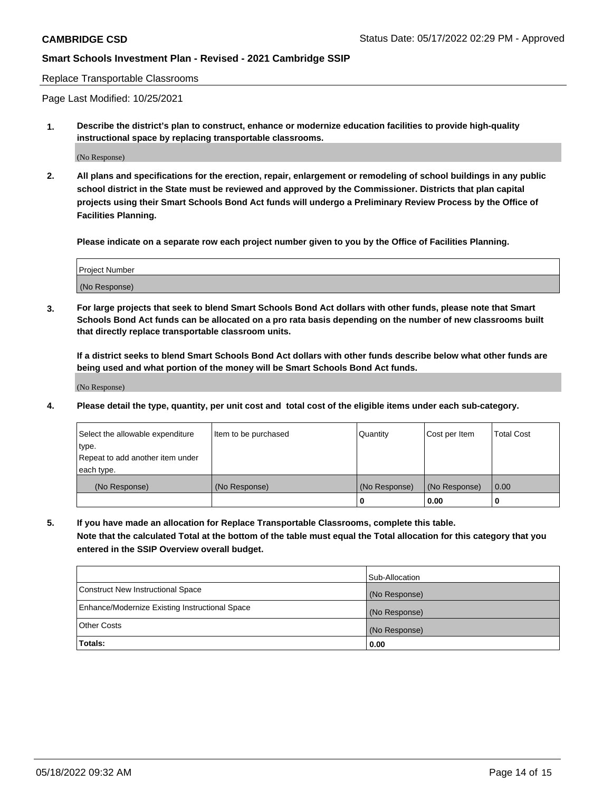Replace Transportable Classrooms

Page Last Modified: 10/25/2021

**1. Describe the district's plan to construct, enhance or modernize education facilities to provide high-quality instructional space by replacing transportable classrooms.**

(No Response)

**2. All plans and specifications for the erection, repair, enlargement or remodeling of school buildings in any public school district in the State must be reviewed and approved by the Commissioner. Districts that plan capital projects using their Smart Schools Bond Act funds will undergo a Preliminary Review Process by the Office of Facilities Planning.**

**Please indicate on a separate row each project number given to you by the Office of Facilities Planning.**

| <b>Project Number</b> |  |
|-----------------------|--|
| (No Response)         |  |

**3. For large projects that seek to blend Smart Schools Bond Act dollars with other funds, please note that Smart Schools Bond Act funds can be allocated on a pro rata basis depending on the number of new classrooms built that directly replace transportable classroom units.**

**If a district seeks to blend Smart Schools Bond Act dollars with other funds describe below what other funds are being used and what portion of the money will be Smart Schools Bond Act funds.**

(No Response)

**4. Please detail the type, quantity, per unit cost and total cost of the eligible items under each sub-category.**

| Select the allowable expenditure | Item to be purchased | Quantity      | Cost per Item | <b>Total Cost</b> |
|----------------------------------|----------------------|---------------|---------------|-------------------|
| type.                            |                      |               |               |                   |
| Repeat to add another item under |                      |               |               |                   |
| each type.                       |                      |               |               |                   |
| (No Response)                    | (No Response)        | (No Response) | (No Response) | 0.00              |
|                                  |                      | U             | 0.00          |                   |

**5. If you have made an allocation for Replace Transportable Classrooms, complete this table.**

**Note that the calculated Total at the bottom of the table must equal the Total allocation for this category that you entered in the SSIP Overview overall budget.**

|                                                | Sub-Allocation |
|------------------------------------------------|----------------|
| Construct New Instructional Space              | (No Response)  |
| Enhance/Modernize Existing Instructional Space | (No Response)  |
| <b>Other Costs</b>                             | (No Response)  |
| Totals:                                        | 0.00           |